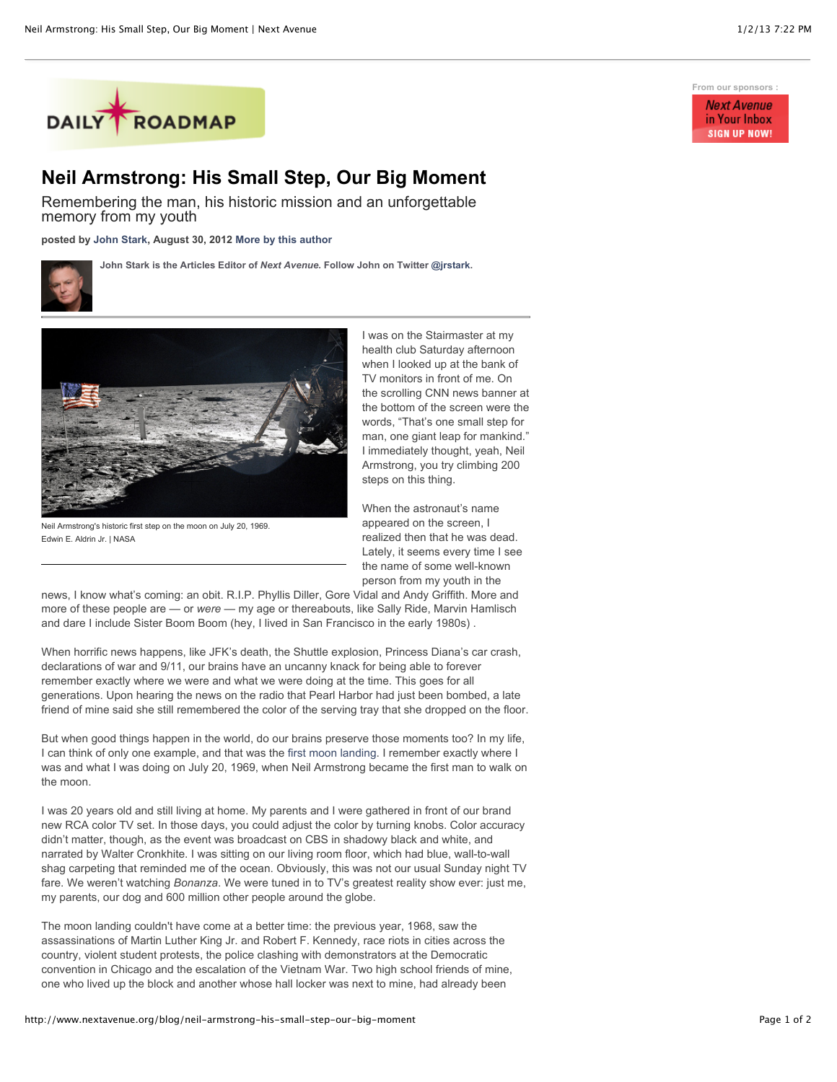

## **Neil Armstrong: His Small Step, Our Big Moment**

Remembering the man, his historic mission and an unforgettable memory from my youth

**posted by [John Stark,](http://www.nextavenue.org/staff/john-stark) August 30, 2012 [More by this author](http://www.nextavenue.org/staff/john-stark)**

**John Stark is the Articles Editor of** *Next Avenue***. Follow John on Twitter [@jrstark.](http://twitter.com/jrstark)**



Neil Armstrong's historic first step on the moon on July 20, 1969. Edwin E. Aldrin Jr. | NASA

I was on the Stairmaster at my health club Saturday afternoon when I looked up at the bank of TV monitors in front of me. On the scrolling CNN news banner at the bottom of the screen were the words, "That's one small step for man, one giant leap for mankind." I immediately thought, yeah, Neil Armstrong, you try climbing 200 steps on this thing.

When the astronaut's name appeared on the screen, I realized then that he was dead. Lately, it seems every time I see the name of some well-known person from my youth in the

news, I know what's coming: an obit. R.I.P. Phyllis Diller, Gore Vidal and Andy Griffith. More and more of these people are — or *were* — my age or thereabouts, like Sally Ride, Marvin Hamlisch and dare I include Sister Boom Boom (hey, I lived in San Francisco in the early 1980s) .

When horrific news happens, like JFK's death, the Shuttle explosion, Princess Diana's car crash, declarations of war and 9/11, our brains have an uncanny knack for being able to forever remember exactly where we were and what we were doing at the time. This goes for all generations. Upon hearing the news on the radio that Pearl Harbor had just been bombed, a late friend of mine said she still remembered the color of the serving tray that she dropped on the floor.

But when good things happen in the world, do our brains preserve those moments too? In my life, I can think of only one example, and that was the [first moon landing](http://www.huffingtonpost.com/2012/07/20/apollo-11-anniversary-pictures-moon-landing-photos_n_1690494.html). I remember exactly where I was and what I was doing on July 20, 1969, when Neil Armstrong became the first man to walk on the moon.

I was 20 years old and still living at home. My parents and I were gathered in front of our brand new RCA color TV set. In those days, you could adjust the color by turning knobs. Color accuracy didn't matter, though, as the event was broadcast on CBS in shadowy black and white, and narrated by Walter Cronkhite. I was sitting on our living room floor, which had blue, wall-to-wall shag carpeting that reminded me of the ocean. Obviously, this was not our usual Sunday night TV fare. We weren't watching *Bonanza*. We were tuned in to TV's greatest reality show ever: just me, my parents, our dog and 600 million other people around the globe.

The moon landing couldn't have come at a better time: the previous year, 1968, saw the assassinations of Martin Luther King Jr. and Robert F. Kennedy, race riots in cities across the country, violent student protests, the police clashing with demonstrators at the Democratic convention in Chicago and the escalation of the Vietnam War. Two high school friends of mine, one who lived up the block and another whose hall locker was next to mine, had already been